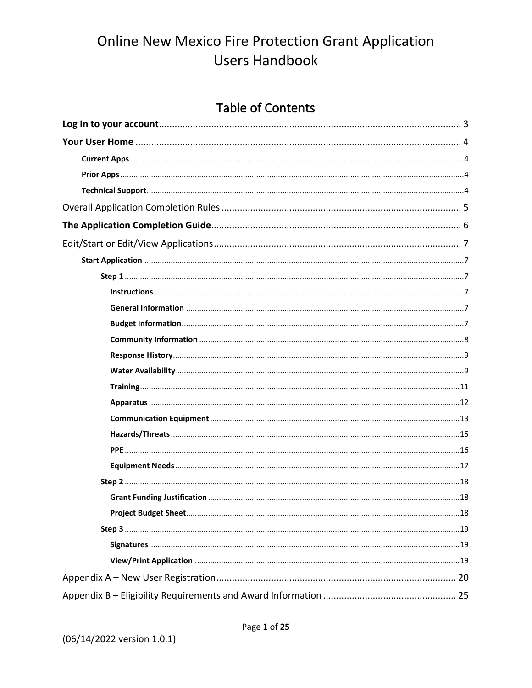### **Table of Contents**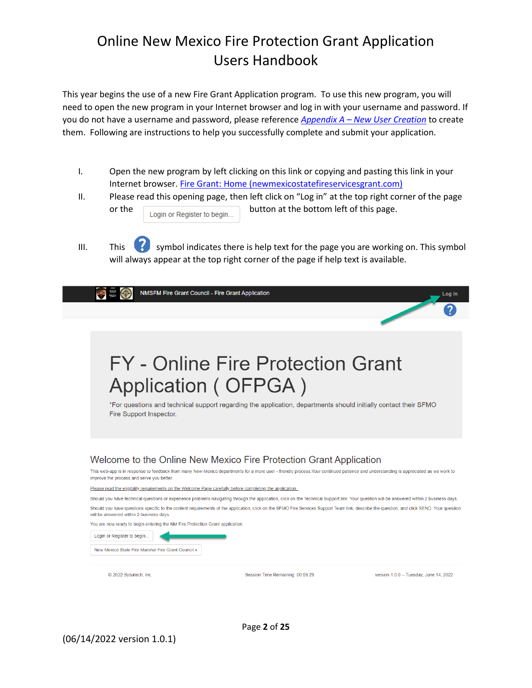This year begins the use of a new Fire Grant Application program. To use this new program, you will need to open the new program in your Internet browser and log in with your username and password. If you do not have a username and password, please reference *Appendix A – New User Creation* to create them. Following are instructions to help you successfully complete and submit your application.

- I. Open the new program by left clicking on this link or copying and pasting this link in your Internet browser. [Fire Grant: Home \(newmexicostatefireservicesgrant.com\)](https://www.newmexicostatefireservicesgrant.com/)
- II. Please read this opening page, then left click on "Log in" at the top right corner of the page or the  $\sqrt{\frac{c}{c}}$  Login or Register to begin... button at the bottom left of this page.

III. This  $\bullet\bullet$  symbol indicates there is help text for the page you are working on. This symbol will always appear at the top right corner of the page if help text is available.

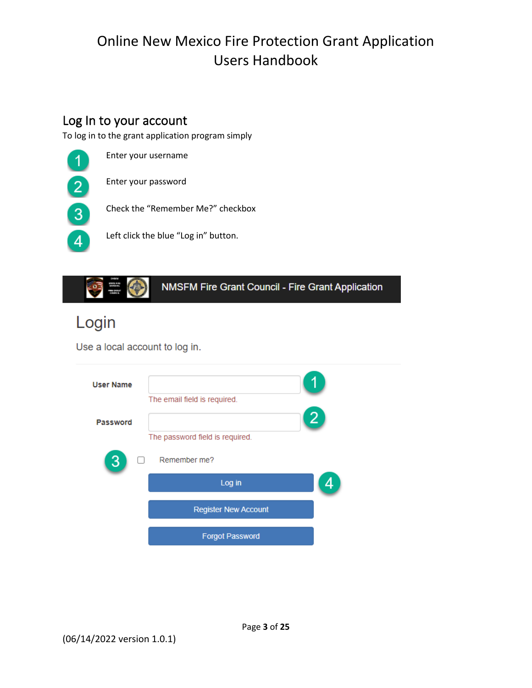### Log In to your account

To log in to the grant application program simply

Enter your username  $\overline{1}$ Enter your password  $\overline{2}$ Check the "Remember Me?" checkbox  $\boxed{3}$ Left click the blue "Log in" button.  $\overline{4}$ 



# Login

Use a local account to log in.

| <b>User Name</b> |                                 |   |
|------------------|---------------------------------|---|
|                  | The email field is required.    |   |
| Password         |                                 | 2 |
|                  | The password field is required. |   |
|                  | Remember me?                    |   |
|                  | Log in                          |   |
|                  | <b>Register New Account</b>     |   |
|                  | <b>Forgot Password</b>          |   |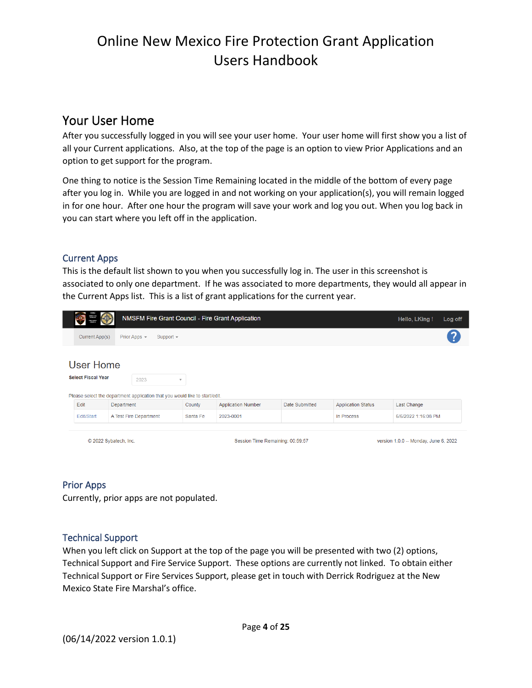### Your User Home

After you successfully logged in you will see your user home. Your user home will first show you a list of all your Current applications. Also, at the top of the page is an option to view Prior Applications and an option to get support for the program.

One thing to notice is the Session Time Remaining located in the middle of the bottom of every page after you log in. While you are logged in and not working on your application(s), you will remain logged in for one hour. After one hour the program will save your work and log you out. When you log back in you can start where you left off in the application.

#### Current Apps

This is the default list shown to you when you successfully log in. The user in this screenshot is associated to only one department. If he was associated to more departments, they would all appear in the Current Apps list. This is a list of grant applications for the current year.

|                       | 2011 8.55<br>2002 002<br>1003 002 00                                        |            |                        |                         |                                  | NMSFM Fire Grant Council - Fire Grant Application |                                       |                           | Hello, LKing!       | Log off |
|-----------------------|-----------------------------------------------------------------------------|------------|------------------------|-------------------------|----------------------------------|---------------------------------------------------|---------------------------------------|---------------------------|---------------------|---------|
|                       | Current App(s)                                                              |            | Prior Apps $\sim$      | Support $\sim$          |                                  |                                                   |                                       |                           |                     |         |
|                       | <b>User Home</b><br><b>Select Fiscal Year</b>                               |            | 2023                   | $\overline{\mathbf{v}}$ |                                  |                                                   |                                       |                           |                     |         |
|                       | Please select the department application that you would like to start/edit. |            |                        |                         |                                  |                                                   |                                       |                           |                     |         |
|                       | Edit                                                                        | Department |                        |                         | County                           | <b>Application Number</b>                         | Date Submitted                        | <b>Application Status</b> | Last Change         |         |
|                       | Edit/Start                                                                  |            | A Test Fire Department |                         | Santa Fe                         | 2023-0001                                         |                                       | In Process                | 6/6/2022 1:16:08 PM |         |
| © 2022 Sybatech, Inc. |                                                                             |            |                        |                         | Session Time Remaining: 00:59:57 |                                                   | version 1.0.0 -- Monday, June 6, 2022 |                           |                     |         |

#### Prior Apps

Currently, prior apps are not populated.

#### Technical Support

When you left click on Support at the top of the page you will be presented with two (2) options, Technical Support and Fire Service Support. These options are currently not linked. To obtain either Technical Support or Fire Services Support, please get in touch with Derrick Rodriguez at the New Mexico State Fire Marshal's office.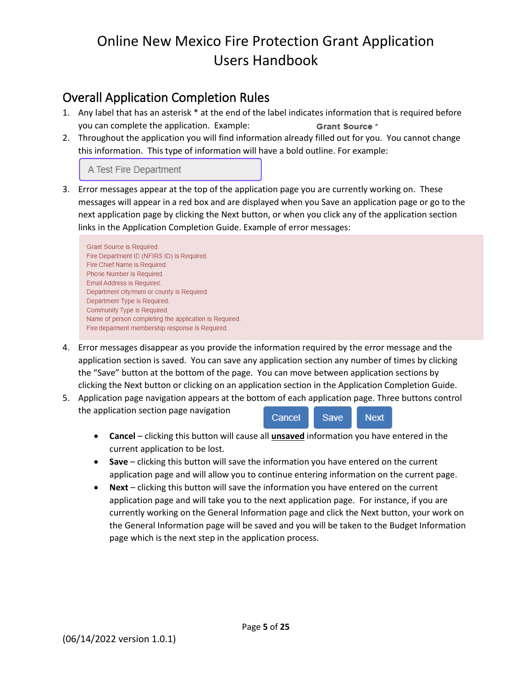### Overall Application Completion Rules

- 1. Any label that has an asterisk \* at the end of the label indicates information that is required before you can complete the application. Example: Grant Source\*
- 2. Throughout the application you will find information already filled out for you. You cannot change this information. This type of information will have a bold outline. For example:

#### A Test Fire Department

3. Error messages appear at the top of the application page you are currently working on. These messages will appear in a red box and are displayed when you Save an application page or go to the next application page by clicking the Next button, or when you click any of the application section links in the Application Completion Guide. Example of error messages:

Grant Source is Required. Fire Department ID (NFIRS ID) is Required. Fire Chief Name is Required. Phone Number is Required. Email Address is Required. Department city/muni or county is Required. Department Type is Required. Community Type is Required. Name of person completing the application is Required. Fire deparment membership response is Required.

- 4. Error messages disappear as you provide the information required by the error message and the application section is saved. You can save any application section any number of times by clicking the "Save" button at the bottom of the page. You can move between application sections by clicking the Next button or clicking on an application section in the Application Completion Guide.
- 5. Application page navigation appears at the bottom of each application page. Three buttons control the application section page navigation Cancel Save **Next** 
	- **Cancel** clicking this button will cause all **unsaved** information you have entered in the current application to be lost.
	- **Save** clicking this button will save the information you have entered on the current application page and will allow you to continue entering information on the current page.
	- **Next** clicking this button will save the information you have entered on the current application page and will take you to the next application page. For instance, if you are currently working on the General Information page and click the Next button, your work on the General Information page will be saved and you will be taken to the Budget Information page which is the next step in the application process.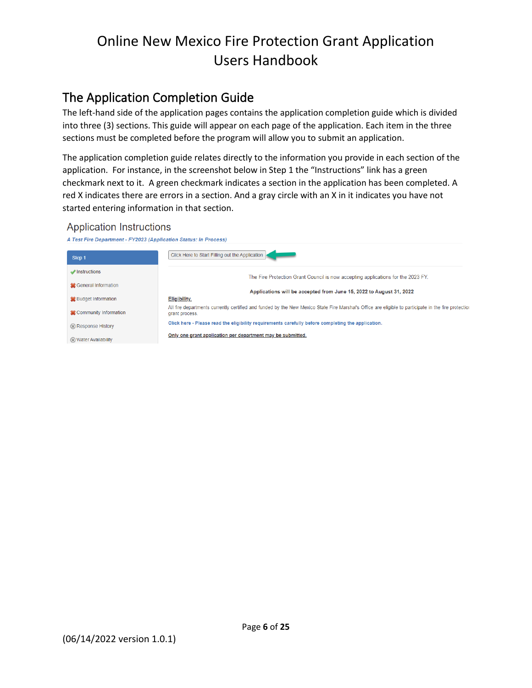### The Application Completion Guide

The left-hand side of the application pages contains the application completion guide which is divided into three (3) sections. This guide will appear on each page of the application. Each item in the three sections must be completed before the program will allow you to submit an application.

The application completion guide relates directly to the information you provide in each section of the application. For instance, in the screenshot below in Step 1 the "Instructions" link has a green checkmark next to it. A green checkmark indicates a section in the application has been completed. A red X indicates there are errors in a section. And a gray circle with an X in it indicates you have not started entering information in that section.

#### **Application Instructions**

| A Test Fire Department - FY2023 (Application Status: In Process) |                                                                                                                                                                        |  |  |
|------------------------------------------------------------------|------------------------------------------------------------------------------------------------------------------------------------------------------------------------|--|--|
| Step 1                                                           | Click Here to Start Filling out the Application                                                                                                                        |  |  |
| Instructions                                                     | The Fire Protection Grant Council is now accepting applications for the 2023 FY.                                                                                       |  |  |
| Seneral Information                                              |                                                                                                                                                                        |  |  |
|                                                                  | Applications will be accepted from June 15, 2022 to August 31, 2022                                                                                                    |  |  |
| <b>SC</b> Budget Information                                     | Eligibility.                                                                                                                                                           |  |  |
| <b>SCOMMUNITY Information</b>                                    | All fire departments currently certified and funded by the New Mexico State Fire Marshal's Office are eligible to participate in the fire protectior<br>grant process. |  |  |
| Response History                                                 | Click here - Please read the eligibility requirements carefully before completing the application.                                                                     |  |  |
| <b>60 Water Availability</b>                                     | Only one grant application per department may be submitted.                                                                                                            |  |  |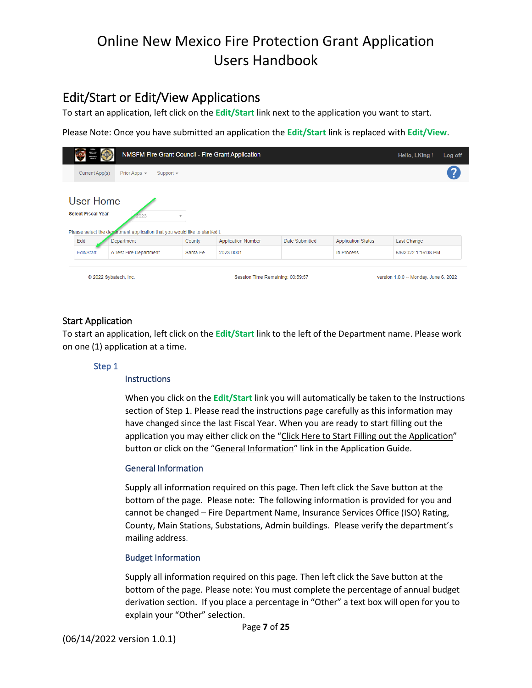### Edit/Start or Edit/View Applications

To start an application, left click on the **Edit/Start** link next to the application you want to start.

Please Note: Once you have submitted an application the **Edit/Start** link is replaced with **Edit/View**.

| 2011 8.25<br>10022441<br>1003 00024 | NMSFM Fire Grant Council - Fire Grant Application                                                                                             |          |                                  |                |                           | Hello, LKing!                         | Log off |
|-------------------------------------|-----------------------------------------------------------------------------------------------------------------------------------------------|----------|----------------------------------|----------------|---------------------------|---------------------------------------|---------|
| Current App(s)                      | Prior Apps $\sim$<br>Support $\sim$                                                                                                           |          |                                  |                |                           |                                       |         |
|                                     | <b>User Home</b><br><b>Select Fiscal Year</b><br>$\mathcal{L}$<br>Please select the department application that you would like to start/edit. |          |                                  |                |                           |                                       |         |
| Edit                                | Department                                                                                                                                    | County   | <b>Application Number</b>        | Date Submitted | <b>Application Status</b> | <b>Last Change</b>                    |         |
| Edit/Start                          | A Test Fire Department                                                                                                                        | Santa Fe | 2023-0001                        |                | In Process                | 6/6/2022 1:16:08 PM                   |         |
| © 2022 Sybatech, Inc.               |                                                                                                                                               |          | Session Time Remaining: 00:59:57 |                |                           | version 1.0.0 -- Monday, June 6, 2022 |         |

#### Start Application

To start an application, left click on the **Edit/Start** link to the left of the Department name. Please work on one (1) application at a time.

#### Step 1

#### **Instructions**

When you click on the **Edit/Start** link you will automatically be taken to the Instructions section of Step 1. Please read the instructions page carefully as this information may have changed since the last Fiscal Year. When you are ready to start filling out the application you may either click on the "Click Here to Start Filling out the Application" button or click on the "General Information" link in the Application Guide.

#### General Information

Supply all information required on this page. Then left click the Save button at the bottom of the page. Please note: The following information is provided for you and cannot be changed – Fire Department Name, Insurance Services Office (ISO) Rating, County, Main Stations, Substations, Admin buildings. Please verify the department's mailing address.

#### Budget Information

Supply all information required on this page. Then left click the Save button at the bottom of the page. Please note: You must complete the percentage of annual budget derivation section. If you place a percentage in "Other" a text box will open for you to explain your "Other" selection.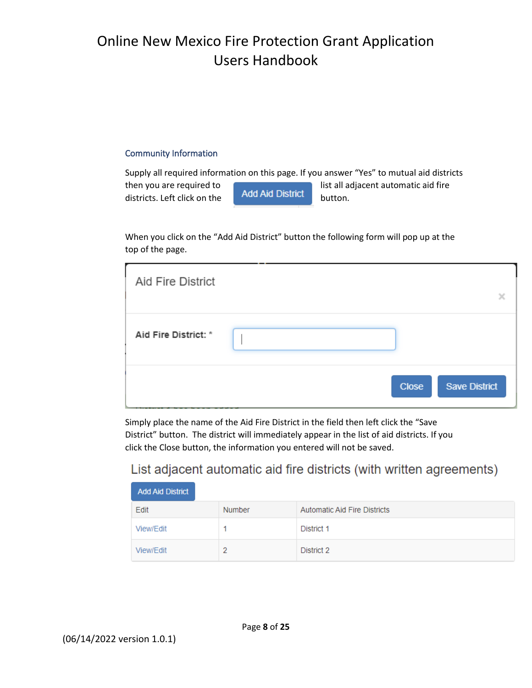#### Community Information

Supply all required information on this page. If you answer "Yes" to mutual aid districts then you are required to **list all adjacent automatic aid fire**<br>district left click on the **Add Aid District** button districts. Left click on the  $\overline{a}$   $\overline{b}$  and  $\overline{b}$  button.

When you click on the "Add Aid District" button the following form will pop up at the top of the page.

| Aid Fire District    |                                      |
|----------------------|--------------------------------------|
| Aid Fire District: * |                                      |
|                      | <b>Close</b><br><b>Save District</b> |

Simply place the name of the Aid Fire District in the field then left click the "Save District" button. The district will immediately appear in the list of aid districts. If you click the Close button, the information you entered will not be saved.

### List adjacent automatic aid fire districts (with written agreements)

| <b>Add Aid District</b> |        |                              |  |
|-------------------------|--------|------------------------------|--|
| Edit                    | Number | Automatic Aid Fire Districts |  |
| View/Edit               |        | District 1                   |  |
| View/Edit               |        | District 2                   |  |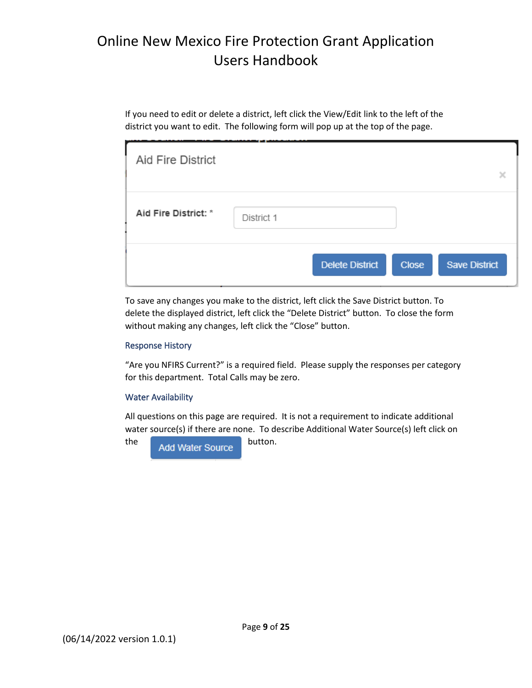If you need to edit or delete a district, left click the View/Edit link to the left of the district you want to edit. The following form will pop up at the top of the page.

| Aid Fire District    |            |                        |              | ×                    |
|----------------------|------------|------------------------|--------------|----------------------|
| Aid Fire District: * | District 1 |                        |              |                      |
|                      |            | <b>Delete District</b> | <b>Close</b> | <b>Save District</b> |

To save any changes you make to the district, left click the Save District button. To delete the displayed district, left click the "Delete District" button. To close the form without making any changes, left click the "Close" button.

#### Response History

"Are you NFIRS Current?" is a required field. Please supply the responses per category for this department. Total Calls may be zero.

#### Water Availability

All questions on this page are required. It is not a requirement to indicate additional water source(s) if there are none. To describe Additional Water Source(s) left click on

the Add Water Source button.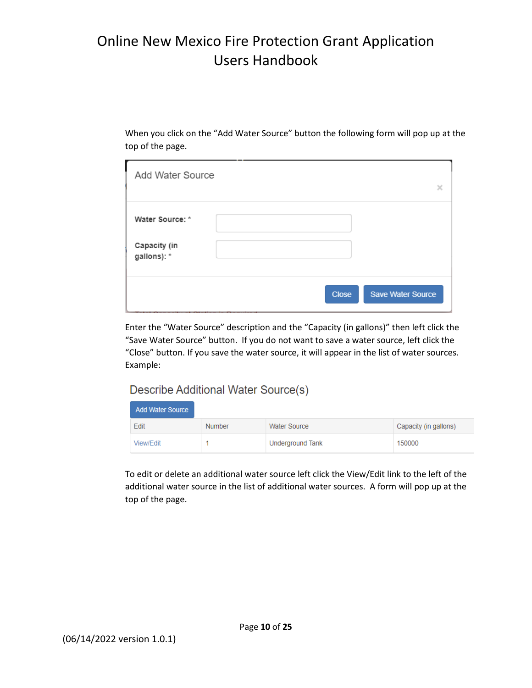When you click on the "Add Water Source" button the following form will pop up at the top of the page.

| Add Water Source            | ×                                                                                                                                                                                                                                                                                |
|-----------------------------|----------------------------------------------------------------------------------------------------------------------------------------------------------------------------------------------------------------------------------------------------------------------------------|
| Water Source: *             |                                                                                                                                                                                                                                                                                  |
| Capacity (in<br>gallons): * |                                                                                                                                                                                                                                                                                  |
|                             | <b>Save Water Source</b><br><b>Close</b><br><b>Contract Contract Contract Contract Contract Contract Contract Contract Contract Contract Contract Contract Contract Contract Contract Contract Contract Contract Contract Contract Contract Contract Contract Contract Contr</b> |

Enter the "Water Source" description and the "Capacity (in gallons)" then left click the "Save Water Source" button. If you do not want to save a water source, left click the "Close" button. If you save the water source, it will appear in the list of water sources. Example:

#### Describe Additional Water Source(s)

| <b>Add Water Source</b> |               |                     |                       |  |
|-------------------------|---------------|---------------------|-----------------------|--|
| Edit                    | <b>Number</b> | <b>Water Source</b> | Capacity (in gallons) |  |
| View/Edit               |               | Underground Tank    | 150000                |  |

To edit or delete an additional water source left click the View/Edit link to the left of the additional water source in the list of additional water sources. A form will pop up at the top of the page.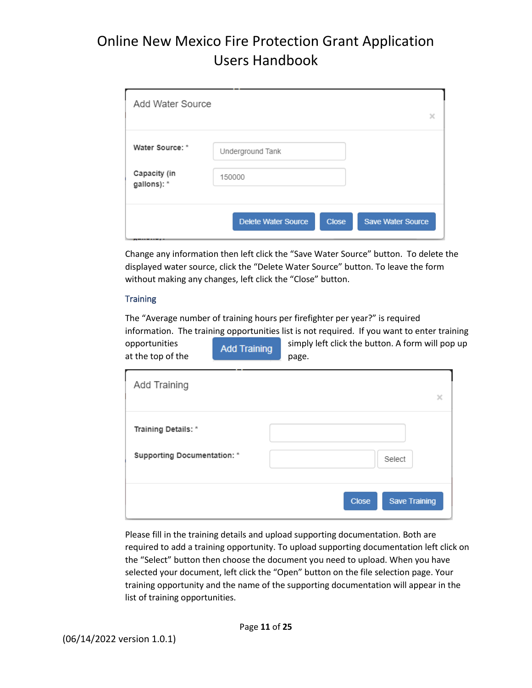| Add Water Source            |                                                                        | × |
|-----------------------------|------------------------------------------------------------------------|---|
| Water Source: *             | Underground Tank                                                       |   |
| Capacity (in<br>gallons): * | 150000                                                                 |   |
|                             | <b>Delete Water Source</b><br><b>Save Water Source</b><br><b>Close</b> |   |

Change any information then left click the "Save Water Source" button. To delete the displayed water source, click the "Delete Water Source" button. To leave the form without making any changes, left click the "Close" button.

#### **Training**

The "Average number of training hours per firefighter per year?" is required information. The training opportunities list is not required. If you want to enter training opportunities **simply left click the button. A form will pop up** at the top of the  $\sqrt{p}$  page.

| Add Training                                              | ×                                    |
|-----------------------------------------------------------|--------------------------------------|
| Training Details: *<br><b>Supporting Documentation: *</b> | Select                               |
|                                                           | <b>Save Training</b><br><b>Close</b> |

Please fill in the training details and upload supporting documentation. Both are required to add a training opportunity. To upload supporting documentation left click on the "Select" button then choose the document you need to upload. When you have selected your document, left click the "Open" button on the file selection page. Your training opportunity and the name of the supporting documentation will appear in the list of training opportunities.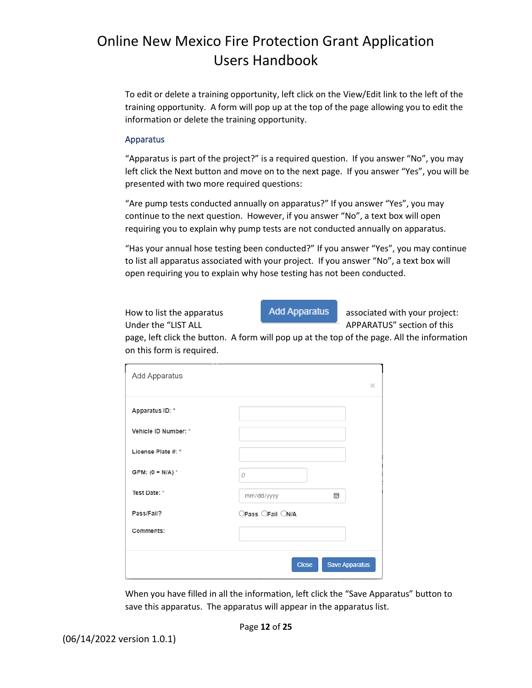To edit or delete a training opportunity, left click on the View/Edit link to the left of the training opportunity. A form will pop up at the top of the page allowing you to edit the information or delete the training opportunity.

#### Apparatus

"Apparatus is part of the project?" is a required question. If you answer "No", you may left click the Next button and move on to the next page. If you answer "Yes", you will be presented with two more required questions:

"Are pump tests conducted annually on apparatus?" If you answer "Yes", you may continue to the next question. However, if you answer "No", a text box will open requiring you to explain why pump tests are not conducted annually on apparatus.

"Has your annual hose testing been conducted?" If you answer "Yes", you may continue to list all apparatus associated with your project. If you answer "No", a text box will open requiring you to explain why hose testing has not been conducted.

How to list the apparatus **Add Apparatus** associated with your project:

Under the "LIST ALL **APPARATUS**" section of this

page, left click the button. A form will pop up at the top of the page. All the information on this form is required.

| Add Apparatus        |                  | $\times$              |
|----------------------|------------------|-----------------------|
| Apparatus ID: *      |                  |                       |
| Vehicle ID Number: * |                  |                       |
| License Plate #: *   |                  |                       |
| GPM: $(0 = N/A)^*$   | 0                |                       |
| Test Date: *         | 圜<br>mm/dd/yyyy  |                       |
| Pass/Fail?           | OPass OFail ON/A |                       |
| Comments:            |                  |                       |
|                      | <b>Close</b>     | <b>Save Apparatus</b> |

When you have filled in all the information, left click the "Save Apparatus" button to save this apparatus. The apparatus will appear in the apparatus list.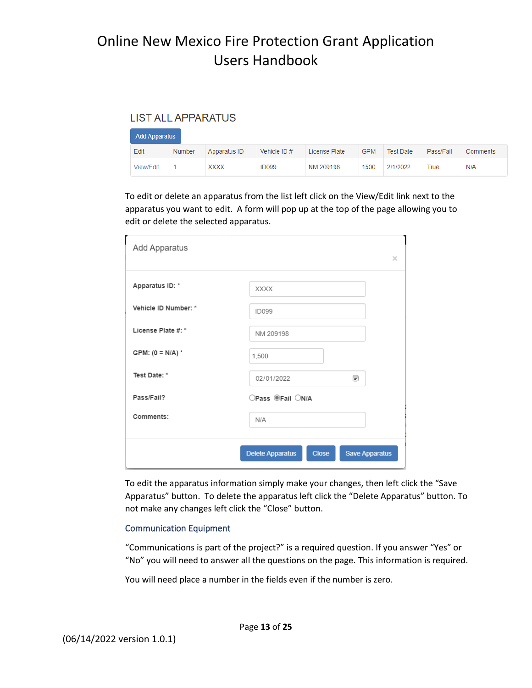#### **I IST ALL APPARATUS**

| <b>Add Apparatus</b> |        |              |               |               |            |           |           |          |
|----------------------|--------|--------------|---------------|---------------|------------|-----------|-----------|----------|
| Edit                 | Number | Apparatus ID | Vehicle $ID#$ | License Plate | <b>GPM</b> | Test Date | Pass/Fail | Comments |
| View/Edit            |        | <b>XXXX</b>  | <b>ID099</b>  | NM 209198     | 1500       | 2/1/2022  | True      | N/A      |

To edit or delete an apparatus from the list left click on the View/Edit link next to the apparatus you want to edit. A form will pop up at the top of the page allowing you to edit or delete the selected apparatus.

| Add Apparatus        |                                                           | $\times$ |
|----------------------|-----------------------------------------------------------|----------|
|                      |                                                           |          |
| Apparatus ID: *      | <b>XXXX</b>                                               |          |
| Vehicle ID Number: * | <b>ID099</b>                                              |          |
| License Plate #: *   | NM 209198                                                 |          |
| GPM: $(0 = N/A)^*$   | 1,500                                                     |          |
| Test Date: *         | 壸<br>02/01/2022                                           |          |
| Pass/Fail?           | ○Pass ®Fail ○N/A                                          |          |
| Comments:            | N/A                                                       |          |
|                      | <b>Save Apparatus</b><br>Delete Apparatus<br><b>Close</b> |          |

To edit the apparatus information simply make your changes, then left click the "Save Apparatus" button. To delete the apparatus left click the "Delete Apparatus" button. To not make any changes left click the "Close" button.

#### Communication Equipment

"Communications is part of the project?" is a required question. If you answer "Yes" or "No" you will need to answer all the questions on the page. This information is required.

You will need place a number in the fields even if the number is zero.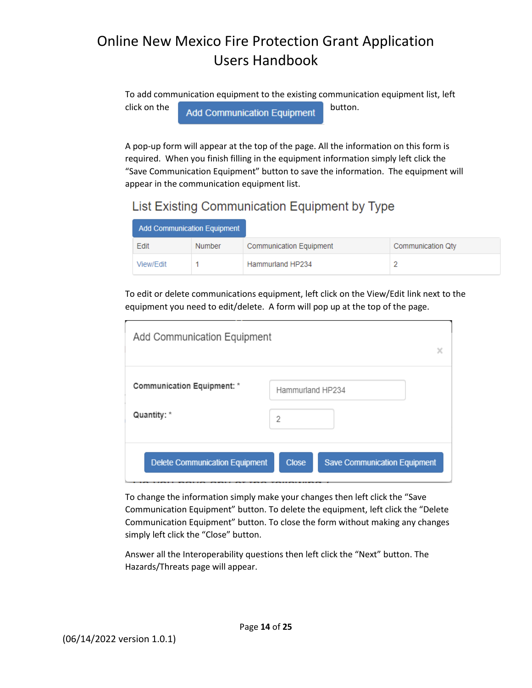To add communication equipment to the existing communication equipment list, left  $\overline{\phantom{a}}$  click on the  $\overline{\phantom{a}}$  Add Communication Equipment  $\overline{\phantom{a}}$  button.

A pop-up form will appear at the top of the page. All the information on this form is required. When you finish filling in the equipment information simply left click the "Save Communication Equipment" button to save the information. The equipment will appear in the communication equipment list.

### List Existing Communication Equipment by Type

| <b>Add Communication Equipment</b> |               |                                |                   |
|------------------------------------|---------------|--------------------------------|-------------------|
| Edit                               | <b>Number</b> | <b>Communication Equipment</b> | Communication Qty |
| View/Edit                          |               | Hammurland HP234               |                   |

To edit or delete communications equipment, left click on the View/Edit link next to the equipment you need to edit/delete. A form will pop up at the top of the page.

| Add Communication Equipment                      | χ                                                        |  |
|--------------------------------------------------|----------------------------------------------------------|--|
| <b>Communication Equipment: *</b><br>Quantity: * | Hammurland HP234                                         |  |
| <b>Delete Communication Equipment</b>            | 2<br><b>Save Communication Equipment</b><br><b>Close</b> |  |

To change the information simply make your changes then left click the "Save Communication Equipment" button. To delete the equipment, left click the "Delete Communication Equipment" button. To close the form without making any changes simply left click the "Close" button.

Answer all the Interoperability questions then left click the "Next" button. The Hazards/Threats page will appear.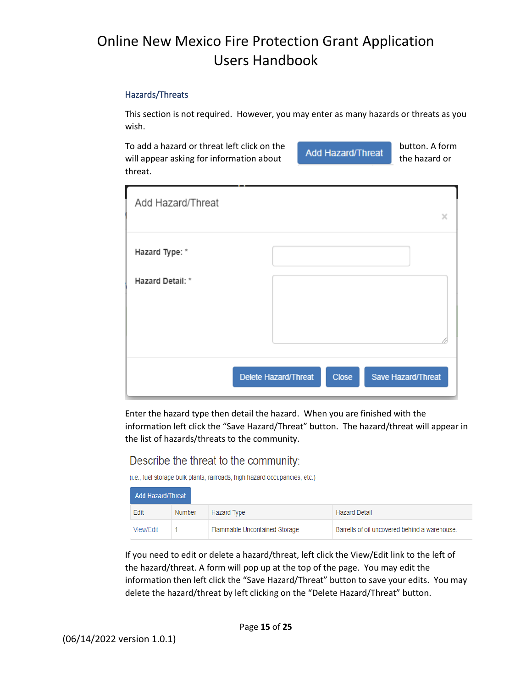#### Hazards/Threats

This section is not required. However, you may enter as many hazards or threats as you wish.

To add a hazard or threat left click on the **button** and button. A form will appear asking for information about  $\begin{array}{c} \bigcap \text{Corr} \\ \text{or} \end{array}$  the hazard or threat.

| Add Hazard/Threat | ×                                                   |
|-------------------|-----------------------------------------------------|
| Hazard Type: *    |                                                     |
| Hazard Detail: *  |                                                     |
|                   |                                                     |
|                   | Delete Hazard/Threat<br>Save Hazard/Threat<br>Close |

Enter the hazard type then detail the hazard. When you are finished with the information left click the "Save Hazard/Threat" button. The hazard/threat will appear in the list of hazards/threats to the community.

#### Describe the threat to the community:

(i.e., fuel storage bulk plants, railroads, high hazard occupancies, etc.)

| Add Hazard/Threat |        |                               |                                               |
|-------------------|--------|-------------------------------|-----------------------------------------------|
| Edit              | Number | Hazard Type                   | <b>Hazard Detail</b>                          |
| View/Edit         |        | Flammable Uncontained Storage | Barrells of oil uncovered behind a warehouse. |

If you need to edit or delete a hazard/threat, left click the View/Edit link to the left of the hazard/threat. A form will pop up at the top of the page. You may edit the information then left click the "Save Hazard/Threat" button to save your edits. You may delete the hazard/threat by left clicking on the "Delete Hazard/Threat" button.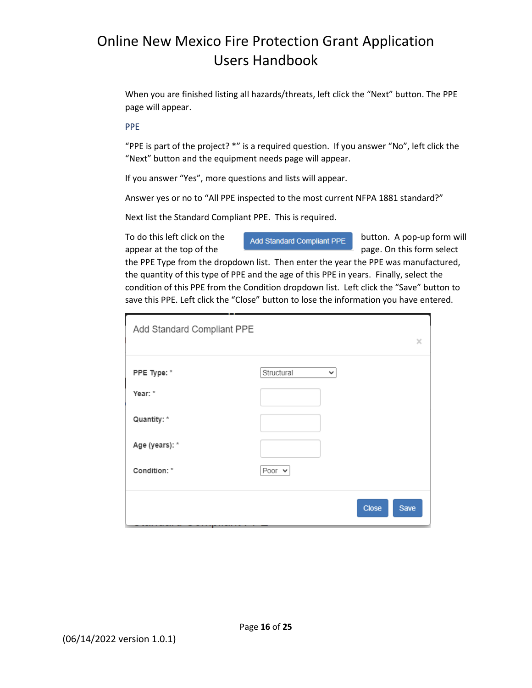When you are finished listing all hazards/threats, left click the "Next" button. The PPE page will appear.

#### PPE

"PPE is part of the project? \*" is a required question. If you answer "No", left click the "Next" button and the equipment needs page will appear.

If you answer "Yes", more questions and lists will appear.

Answer yes or no to "All PPE inspected to the most current NFPA 1881 standard?"

Next list the Standard Compliant PPE. This is required.

To do this left click on the  $\bigcap_{\text{Add Standard Compliant PPE}}$  button. A pop-up form will appear at the top of the page. On this form select

the PPE Type from the dropdown list. Then enter the year the PPE was manufactured, the quantity of this type of PPE and the age of this PPE in years. Finally, select the condition of this PPE from the Condition dropdown list. Left click the "Save" button to save this PPE. Left click the "Close" button to lose the information you have entered.

| Add Standard Compliant PPE |                            | ×                    |
|----------------------------|----------------------------|----------------------|
| PPE Type: *                | Structural<br>$\checkmark$ |                      |
| Year: *                    |                            |                      |
| Quantity: *                |                            |                      |
| Age (years): *             |                            |                      |
| Condition: *               | Poor $\vee$                |                      |
|                            |                            | <b>Close</b><br>Save |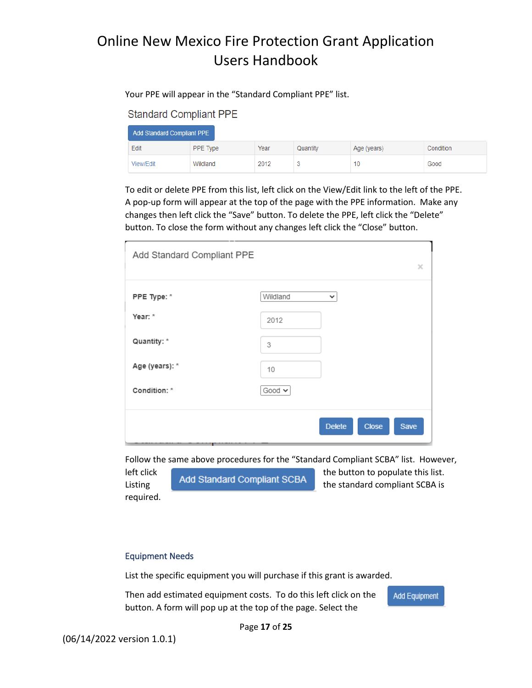#### Your PPE will appear in the "Standard Compliant PPE" list.

#### **Standard Compliant PPE**

| Add Standard Compliant PPE |          |      |          |             |           |
|----------------------------|----------|------|----------|-------------|-----------|
| Edit                       | PPE Type | Year | Quantity | Age (years) | Condition |
| View/Edit                  | Wildland | 2012 | v        | 10          | Good      |

To edit or delete PPE from this list, left click on the View/Edit link to the left of the PPE. A pop-up form will appear at the top of the page with the PPE information. Make any changes then left click the "Save" button. To delete the PPE, left click the "Delete" button. To close the form without any changes left click the "Close" button.

| Add Standard Compliant PPE | ×                                     |
|----------------------------|---------------------------------------|
| PPE Type: *                | Wildland<br>$\checkmark$              |
| Year: *                    | 2012                                  |
| Quantity: *                | 3                                     |
| Age (years): *             | 10                                    |
| Condition: *               | Good $\sim$                           |
|                            | <b>Delete</b><br><b>Close</b><br>Save |

Follow the same above procedures for the "Standard Compliant SCBA" list. However,

required.

left click **Add Standard Compliant SCBA** the button to populate this list. Listing the standard compliant SCBA is the standard compliant SCBA is

#### Equipment Needs

List the specific equipment you will purchase if this grant is awarded.

Then add estimated equipment costs. To do this left click on the button. A form will pop up at the top of the page. Select the

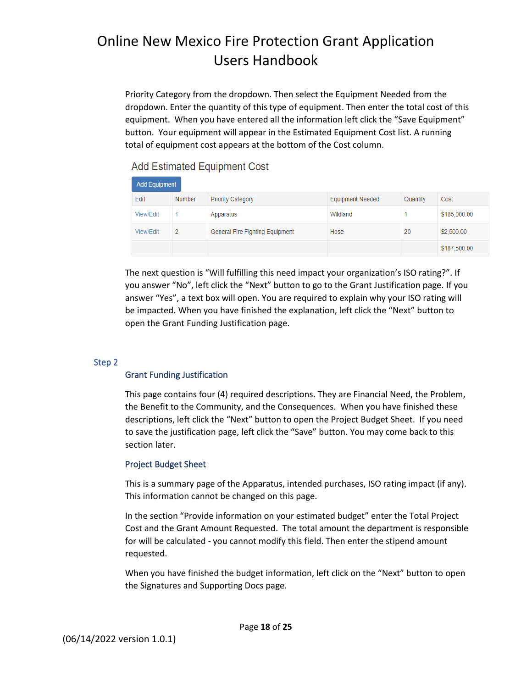Priority Category from the dropdown. Then select the Equipment Needed from the dropdown. Enter the quantity of this type of equipment. Then enter the total cost of this equipment. When you have entered all the information left click the "Save Equipment" button. Your equipment will appear in the Estimated Equipment Cost list. A running total of equipment cost appears at the bottom of the Cost column.

**Add Estimated Equipment Cost** 

| Add Equipment |                |                                 |                         |          |              |
|---------------|----------------|---------------------------------|-------------------------|----------|--------------|
| Edit          | <b>Number</b>  | <b>Priority Category</b>        | <b>Equipment Needed</b> | Quantity | Cost         |
| View/Edit     |                | Apparatus                       | Wildland                |          | \$185,000.00 |
| View/Edit     | $\overline{2}$ | General Fire Fighting Equipment | Hose                    | 20       | \$2,500.00   |
|               |                |                                 |                         |          | \$187,500.00 |

The next question is "Will fulfilling this need impact your organization's ISO rating?". If you answer "No", left click the "Next" button to go to the Grant Justification page. If you answer "Yes", a text box will open. You are required to explain why your ISO rating will be impacted. When you have finished the explanation, left click the "Next" button to open the Grant Funding Justification page.

#### Step 2

#### Grant Funding Justification

This page contains four (4) required descriptions. They are Financial Need, the Problem, the Benefit to the Community, and the Consequences. When you have finished these descriptions, left click the "Next" button to open the Project Budget Sheet. If you need to save the justification page, left click the "Save" button. You may come back to this section later.

#### Project Budget Sheet

This is a summary page of the Apparatus, intended purchases, ISO rating impact (if any). This information cannot be changed on this page.

In the section "Provide information on your estimated budget" enter the Total Project Cost and the Grant Amount Requested. The total amount the department is responsible for will be calculated - you cannot modify this field. Then enter the stipend amount requested.

When you have finished the budget information, left click on the "Next" button to open the Signatures and Supporting Docs page.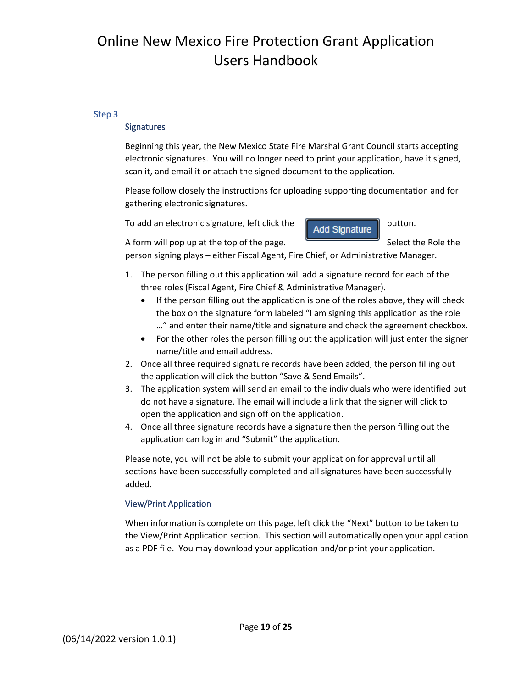#### Step 3

#### **Signatures**

Beginning this year, the New Mexico State Fire Marshal Grant Council starts accepting electronic signatures. You will no longer need to print your application, have it signed, scan it, and email it or attach the signed document to the application.

Please follow closely the instructions for uploading supporting documentation and for gathering electronic signatures.

To add an electronic signature, left click the  $\begin{bmatrix} \end{bmatrix}$  Add Signature button.

A form will pop up at the top of the page. Select the Role the

person signing plays – either Fiscal Agent, Fire Chief, or Administrative Manager.

- 1. The person filling out this application will add a signature record for each of the three roles (Fiscal Agent, Fire Chief & Administrative Manager).
	- If the person filling out the application is one of the roles above, they will check the box on the signature form labeled "I am signing this application as the role …" and enter their name/title and signature and check the agreement checkbox.
	- For the other roles the person filling out the application will just enter the signer name/title and email address.
- 2. Once all three required signature records have been added, the person filling out the application will click the button "Save & Send Emails".
- 3. The application system will send an email to the individuals who were identified but do not have a signature. The email will include a link that the signer will click to open the application and sign off on the application.
- 4. Once all three signature records have a signature then the person filling out the application can log in and "Submit" the application.

Please note, you will not be able to submit your application for approval until all sections have been successfully completed and all signatures have been successfully added.

#### View/Print Application

When information is complete on this page, left click the "Next" button to be taken to the View/Print Application section. This section will automatically open your application as a PDF file. You may download your application and/or print your application.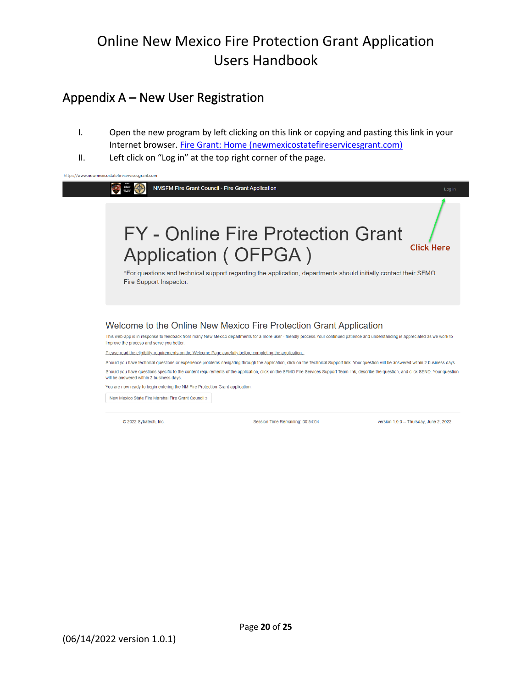### Appendix A – New User Registration

- I. Open the new program by left clicking on this link or copying and pasting this link in your Internet browser. [Fire Grant: Home \(newmexicostatefireservicesgrant.com\)](https://www.newmexicostatefireservicesgrant.com/)
- II. Left click on "Log in" at the top right corner of the page.



Should you have technical questions or experience problems navigating through the application, click on the Technical Support link Your question will be answered within 2 business days. Should you have questions specific to the content requirements of the application, click on the SFMO Fire Services Support Team link, describe the question, and click SEND. Your question will be answered within 2 business days.

You are now ready to begin entering the NM Fire Protection Grant application.

New Mexico State Fire Marshal Fire Grant Council »

© 2022 Sybatech, Inc.

Session Time Remaining: 00:54:04

version 1.0.0 -- Thursday, June 2, 2022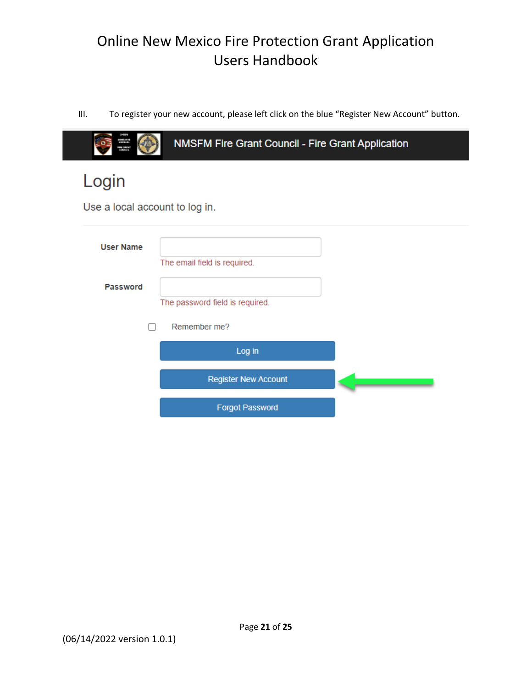III. To register your new account, please left click on the blue "Register New Account" button.

| mn 38<br>a kuwa                | NMSFM Fire Grant Council - Fire Grant Application |  |
|--------------------------------|---------------------------------------------------|--|
| Login                          |                                                   |  |
| Use a local account to log in. |                                                   |  |
| <b>User Name</b>               | The email field is required.                      |  |
| Password                       |                                                   |  |
|                                | The password field is required.                   |  |
|                                | Remember me?<br>Log in                            |  |
|                                | <b>Register New Account</b>                       |  |
|                                | <b>Forgot Password</b>                            |  |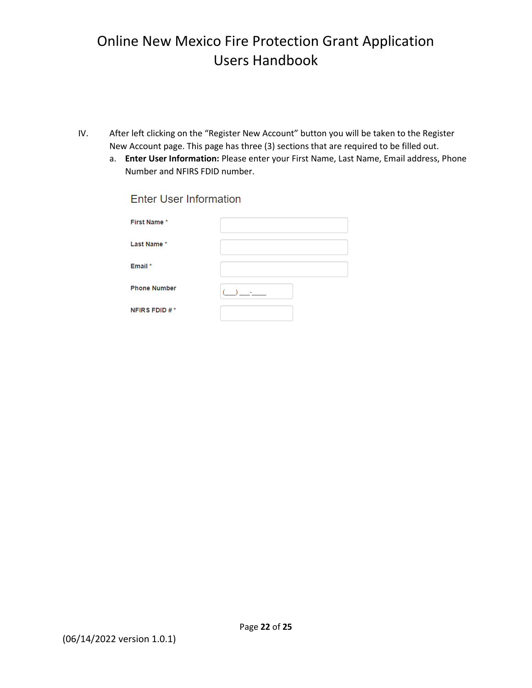- IV. After left clicking on the "Register New Account" button you will be taken to the Register New Account page. This page has three (3) sections that are required to be filled out.
	- a. **Enter User Information:** Please enter your First Name, Last Name, Email address, Phone Number and NFIRS FDID number.

| First Name*         |  |
|---------------------|--|
| Last Name*          |  |
|                     |  |
|                     |  |
| Email *             |  |
|                     |  |
| <b>Phone Number</b> |  |
|                     |  |
| NFIRS FDID #*       |  |
|                     |  |

**Enter User Information**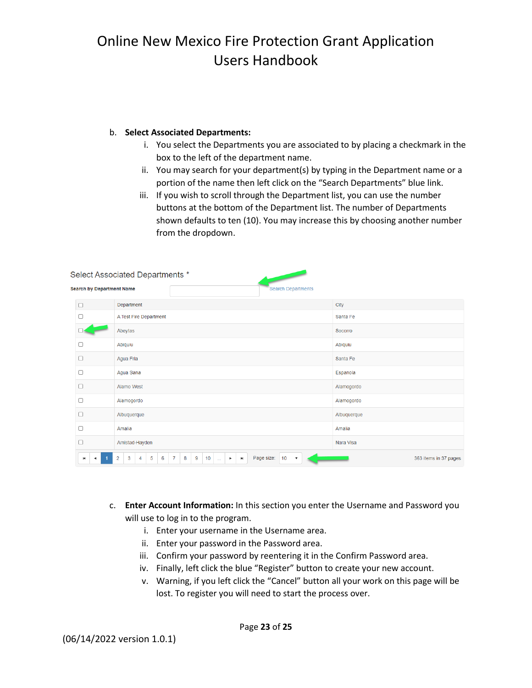#### b. **Select Associated Departments:**

- i. You select the Departments you are associated to by placing a checkmark in the box to the left of the department name.
- ii. You may search for your department(s) by typing in the Department name or a portion of the name then left click on the "Search Departments" blue link.
- iii. If you wish to scroll through the Department list, you can use the number buttons at the bottom of the Department list. The number of Departments shown defaults to ten (10). You may increase this by choosing another number from the dropdown.

| Select Associated Departments *                               |                                                                                                                                                                                          |                       |  |
|---------------------------------------------------------------|------------------------------------------------------------------------------------------------------------------------------------------------------------------------------------------|-----------------------|--|
| <b>Search by Department Name</b><br><b>Search Departments</b> |                                                                                                                                                                                          |                       |  |
| ш                                                             | Department                                                                                                                                                                               | City                  |  |
|                                                               | A Test Fire Department                                                                                                                                                                   | Santa Fe              |  |
|                                                               | Abeytas                                                                                                                                                                                  | Socorro               |  |
|                                                               | Abiquiu                                                                                                                                                                                  | Abiquiu               |  |
| $\Box$                                                        | Agua Fria                                                                                                                                                                                | Santa Fe              |  |
|                                                               | Agua Sana                                                                                                                                                                                | Espanola              |  |
|                                                               | Alamo West                                                                                                                                                                               | Alamogordo            |  |
|                                                               | Alamogordo                                                                                                                                                                               | Alamogordo            |  |
|                                                               | Albuquerque                                                                                                                                                                              | Albuquerque           |  |
|                                                               | Amalia                                                                                                                                                                                   | Amalia                |  |
| п                                                             | Amistad-Hayden                                                                                                                                                                           | Nara Visa             |  |
| $\blacksquare$                                                | 3<br>5<br>10<br>Page size:<br>$\overline{2}$<br>6<br>$\overline{7}$<br>8<br>9<br>10<br>$\overline{4}$<br>$\blacktriangleright$<br>Ħ<br>$\overline{\mathbf v}$<br>$\mathbb{Z} \mathbb{Z}$ | 363 items in 37 pages |  |

- c. **Enter Account Information:** In this section you enter the Username and Password you will use to log in to the program.
	- i. Enter your username in the Username area.
	- ii. Enter your password in the Password area.
	- iii. Confirm your password by reentering it in the Confirm Password area.
	- iv. Finally, left click the blue "Register" button to create your new account.
	- v. Warning, if you left click the "Cancel" button all your work on this page will be lost. To register you will need to start the process over.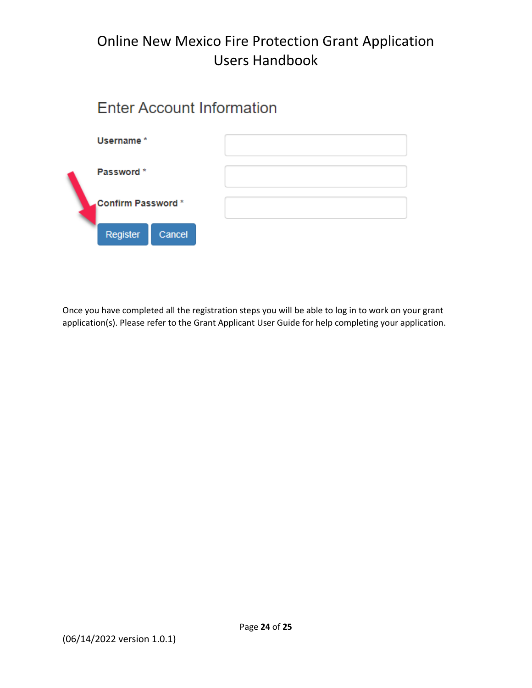# **Enter Account Information**



Once you have completed all the registration steps you will be able to log in to work on your grant application(s). Please refer to the Grant Applicant User Guide for help completing your application.